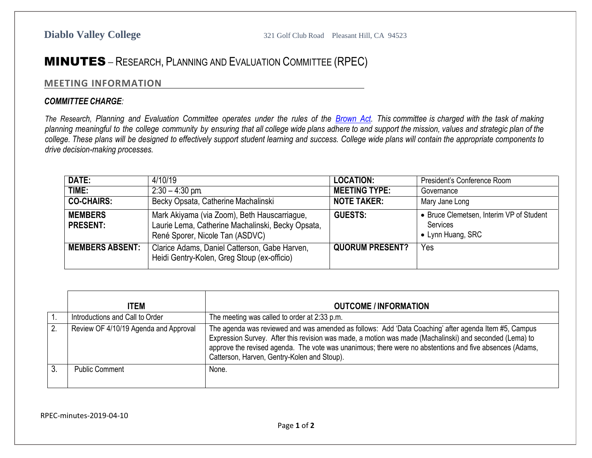## MINUTES – RESEARCH, PLANNING AND EVALUATION COMMITTEE (RPEC)

## **MEETING INFORMATION**

## *COMMITTEE CHARGE:*

The Research, Planning and Evaluation Committee operates under the rules of the [Brown](http://ag.ca.gov/publications/2003_Intro_BrownAct.pdf) Act. This committee is charged with the task of making planning meaningful to the college community by ensuring that all college wide plans adhere to and support the mission, values and strategic plan of the college. These plans will be designed to effectively support student learning and success. College wide plans will contain the appropriate components to *drive decision-making processes.*

| DATE:                             | 4/10/19                                                                                                                              | <b>LOCATION:</b>       | President's Conference Room                                               |
|-----------------------------------|--------------------------------------------------------------------------------------------------------------------------------------|------------------------|---------------------------------------------------------------------------|
| TIME:                             | $2:30 - 4:30$ pm.                                                                                                                    | <b>MEETING TYPE:</b>   | Governance                                                                |
| <b>CO-CHAIRS:</b>                 | Becky Opsata, Catherine Machalinski                                                                                                  | <b>NOTE TAKER:</b>     | Mary Jane Long                                                            |
| <b>MEMBERS</b><br><b>PRESENT:</b> | Mark Akiyama (via Zoom), Beth Hauscarriague,<br>Laurie Lema, Catherine Machalinski, Becky Opsata,<br>René Sporer, Nicole Tan (ASDVC) | <b>GUESTS:</b>         | • Bruce Clemetsen, Interim VP of Student<br>Services<br>• Lynn Huang, SRC |
| <b>MEMBERS ABSENT:</b>            | Clarice Adams, Daniel Catterson, Gabe Harven,<br>Heidi Gentry-Kolen, Greg Stoup (ex-officio)                                         | <b>QUORUM PRESENT?</b> | Yes                                                                       |

|    | <b>ITEM</b>                           | <b>OUTCOME / INFORMATION</b>                                                                                                                                                                                                                                                                                                                                              |
|----|---------------------------------------|---------------------------------------------------------------------------------------------------------------------------------------------------------------------------------------------------------------------------------------------------------------------------------------------------------------------------------------------------------------------------|
|    | Introductions and Call to Order       | The meeting was called to order at 2:33 p.m.                                                                                                                                                                                                                                                                                                                              |
| 2. | Review OF 4/10/19 Agenda and Approval | The agenda was reviewed and was amended as follows: Add 'Data Coaching' after agenda Item #5, Campus<br>Expression Survey. After this revision was made, a motion was made (Machalinski) and seconded (Lema) to<br>approve the revised agenda. The vote was unanimous; there were no abstentions and five absences (Adams,<br>Catterson, Harven, Gentry-Kolen and Stoup). |
|    | <b>Public Comment</b>                 | None.                                                                                                                                                                                                                                                                                                                                                                     |